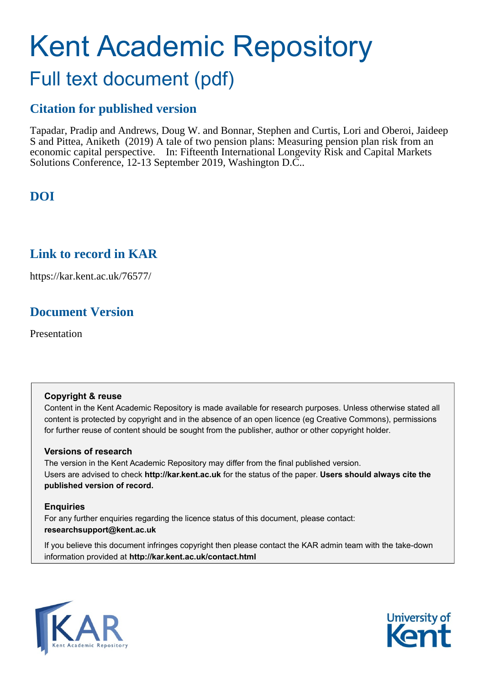# Kent Academic Repository

# Full text document (pdf)

# **Citation for published version**

Tapadar, Pradip and Andrews, Doug W. and Bonnar, Stephen and Curtis, Lori and Oberoi, Jaideep S and Pittea, Aniketh (2019) A tale of two pension plans: Measuring pension plan risk from an economic capital perspective. In: Fifteenth International Longevity Risk and Capital Markets Solutions Conference, 12-13 September 2019, Washington D.C..

# **DOI**

# **Link to record in KAR**

https://kar.kent.ac.uk/76577/

# **Document Version**

Presentation

## **Copyright & reuse**

Content in the Kent Academic Repository is made available for research purposes. Unless otherwise stated all content is protected by copyright and in the absence of an open licence (eg Creative Commons), permissions for further reuse of content should be sought from the publisher, author or other copyright holder.

## **Versions of research**

The version in the Kent Academic Repository may differ from the final published version. Users are advised to check **http://kar.kent.ac.uk** for the status of the paper. **Users should always cite the published version of record.**

## **Enquiries**

For any further enquiries regarding the licence status of this document, please contact: **researchsupport@kent.ac.uk**

If you believe this document infringes copyright then please contact the KAR admin team with the take-down information provided at **http://kar.kent.ac.uk/contact.html**



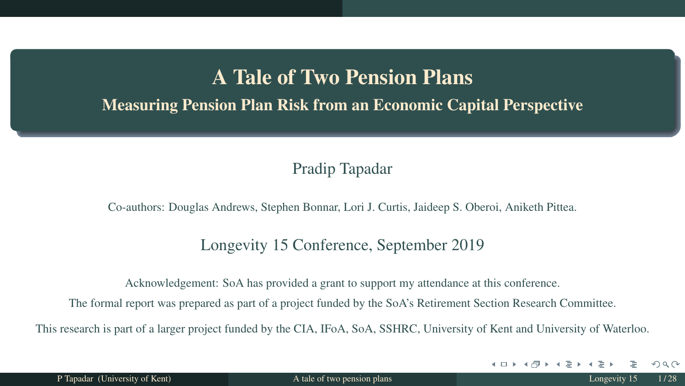# A Tale of Two Pension Plans

Measuring Pension Plan Risk from an Economic Capital Perspective

Pradip Tapadar

Co-authors: Douglas Andrews, Stephen Bonnar, Lori J. Curtis, Jaideep S. Oberoi, Aniketh Pittea.

#### Longevity 15 Conference, September 2019

Acknowledgement: SoA has provided a grant to support my attendance at this conference.

The formal report was prepared as part of a project funded by the SoA's Retirement Section Research Committee.

This research is part of a larger project funded by the CIA, IFoA, SoA, SSHRC, University of Kent and University of Waterloo.

 $QQ$ 

 $\left\{ \left\{ \bigcap_{i=1}^{n} x_i \; | \; i \in \mathbb{N} \right\} \right.$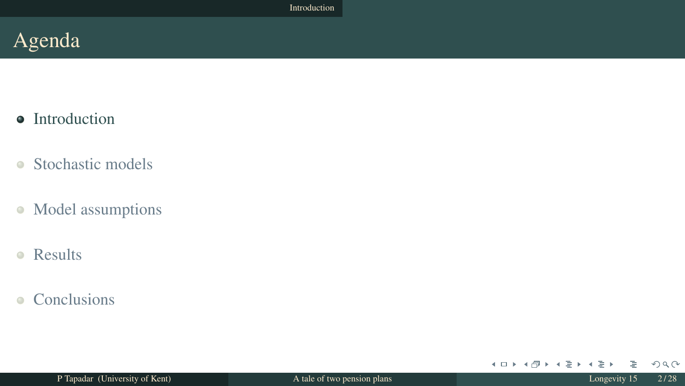- Introduction
- Stochastic models  $\bullet$
- Model assumptions  $\bullet$
- Results  $\bullet$
- Conclusions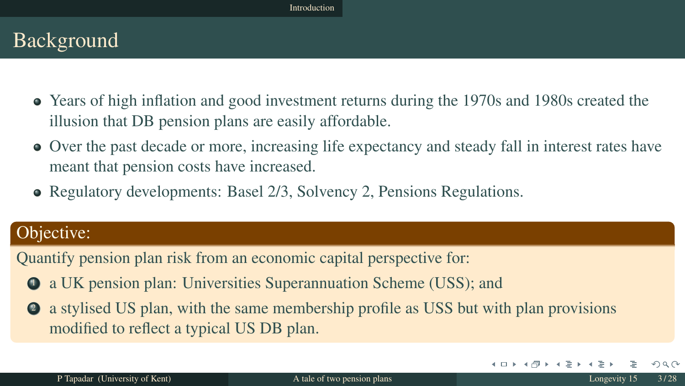# Background

- Years of high inflation and good investment returns during the 1970s and 1980s created the illusion that DB pension plans are easily affordable.
- Over the past decade or more, increasing life expectancy and steady fall in interest rates have meant that pension costs have increased.
- Regulatory developments: Basel 2/3, Solvency 2, Pensions Regulations.

#### Objective:

Quantify pension plan risk from an economic capital perspective for:

- <sup>1</sup> a UK pension plan: Universities Superannuation Scheme (USS); and
- <sup>2</sup> a stylised US plan, with the same membership profile as USS but with plan provisions modified to reflect a typical US DB plan.

 $QQ$ 

4 0 F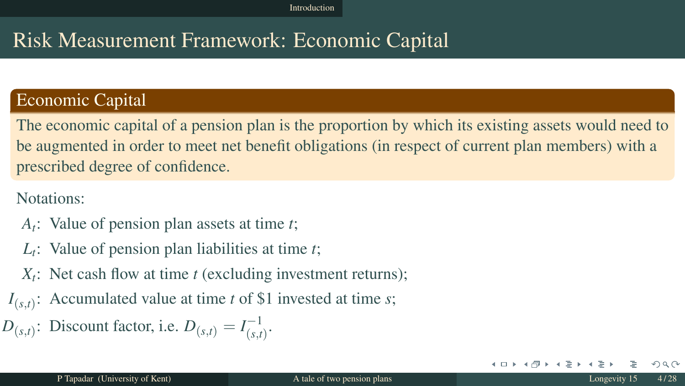# Risk Measurement Framework: Economic Capital

#### Economic Capital

The economic capital of a pension plan is the proportion by which its existing assets would need to be augmented in order to meet net benefit obligations (in respect of current plan members) with a prescribed degree of confidence.

Notations:

- *At* : Value of pension plan assets at time *t*;
- *Lt* : Value of pension plan liabilities at time *t*;
- *Xt* : Net cash flow at time *t* (excluding investment returns);
- *I*(*s*,*t*) : Accumulated value at time *t* of \$1 invested at time *s*;

 $D_{(s,t)}$ : Discount factor, i.e.  $D_{(s,t)} = I_{(s,t)}^{-1}$  $\frac{-1}{(s,t)}$ .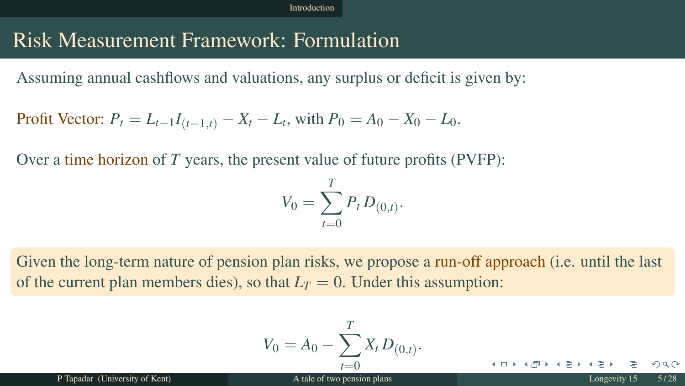# Risk Measurement Framework: Formulation

Assuming annual cashflows and valuations, any surplus or deficit is given by:

**Profit Vector:** 
$$
P_t = L_{t-1}I_{(t-1,t)} - X_t - L_t
$$
, with  $P_0 = A_0 - X_0 - L_0$ .

Over a time horizon of *T* years, the present value of future profits (PVFP):

$$
V_0 = \sum_{t=0}^{T} P_t D_{(0,t)}.
$$

Given the long-term nature of pension plan risks, we propose a run-off approach (i.e. until the last of the current plan members dies), so that  $L_T = 0$ . Under this assumption:

$$
V_0 = A_0 - \sum_{t=0}^T X_t D_{(0,t)}.
$$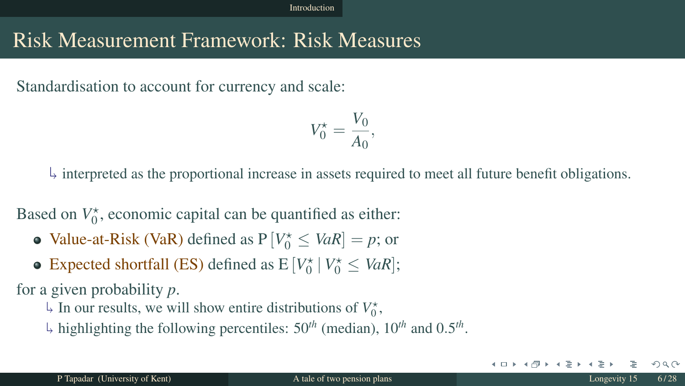# Risk Measurement Framework: Risk Measures

Standardisation to account for currency and scale:

$$
V_0^* = \frac{V_0}{A_0},
$$

 $\frac{1}{2}$  interpreted as the proportional increase in assets required to meet all future benefit obligations.

Based on  $V_0^*$ , economic capital can be quantified as either:

- **Value-at-Risk (VaR)** defined as  $P[V_0^* \leq VaR] = p$ ; or
- Expected shortfall (ES) defined as  $E[V_0^* | V_0^* \leq VaR]$ ;

for a given probability *p*.

 $\downarrow$  In our results, we will show entire distributions of  $V_0^*$ ,

highlighting the following percentiles: 50*th* (median), 10*th* and 0.5 *th* .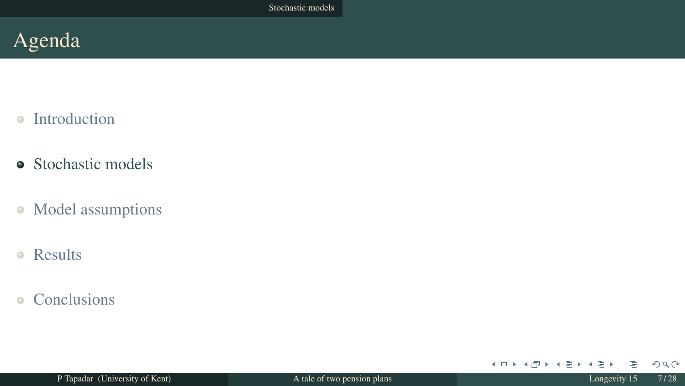- $\bullet$ Introduction
- Stochastic models
- Model assumptions  $\bullet$
- Results  $\bullet$
- **Conclusions**  $\bullet$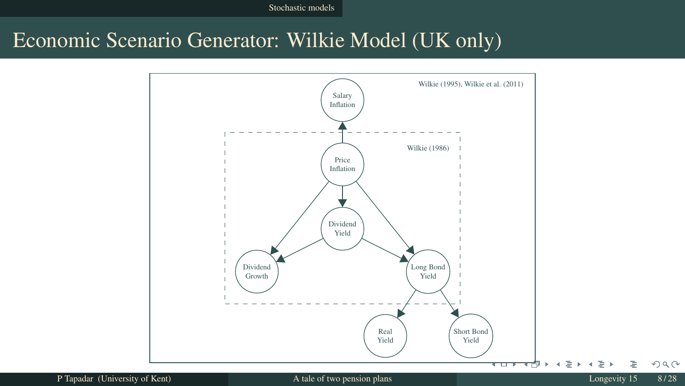# Economic Scenario Generator: Wilkie Model (UK only)

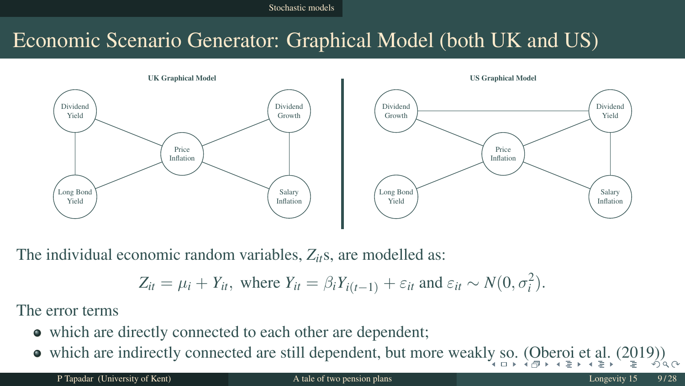Stochastic models

# Economic Scenario Generator: Graphical Model (both UK and US)



The individual economic random variables, *Zit*s, are modelled as:

$$
Z_{it} = \mu_i + Y_{it}, \text{ where } Y_{it} = \beta_i Y_{i(t-1)} + \varepsilon_{it} \text{ and } \varepsilon_{it} \sim N(0, \sigma_i^2).
$$

The error terms

- which are directly connected to each other are dependent;
- which are indirectly connected are still dependent, but more weakly so. (Oberoi et al. (2019))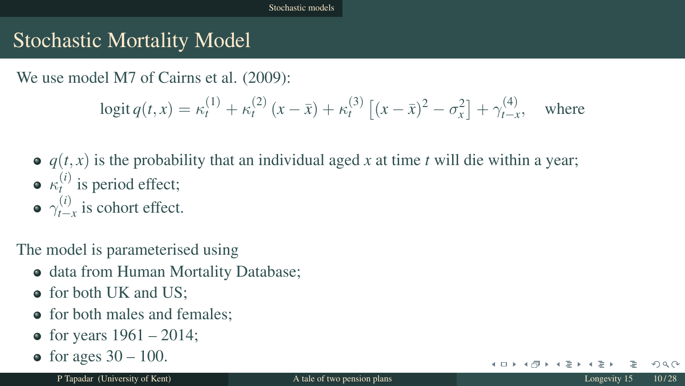# Stochastic Mortality Model

We use model M7 of Cairns et al.  $(2009)$ :

$$
logit q(t, x) = \kappa_t^{(1)} + \kappa_t^{(2)} (x - \bar{x}) + \kappa_t^{(3)} [(x - \bar{x})^2 - \sigma_x^2] + \gamma_{t-x}^{(4)}, \text{ where}
$$

- $\bullet$   $q(t, x)$  is the probability that an individual aged *x* at time *t* will die within a year;  $\kappa_t^{(i)}$  is period effect;
- $\gamma_{t-}^{(i)}$  $\sum_{t=x}^{(t)}$  is cohort effect.

The model is parameterised using

- data from Human Mortality Database;
- for both UK and US;
- for both males and females:
- for years  $1961 2014$ ;
- for ages  $30 100$ .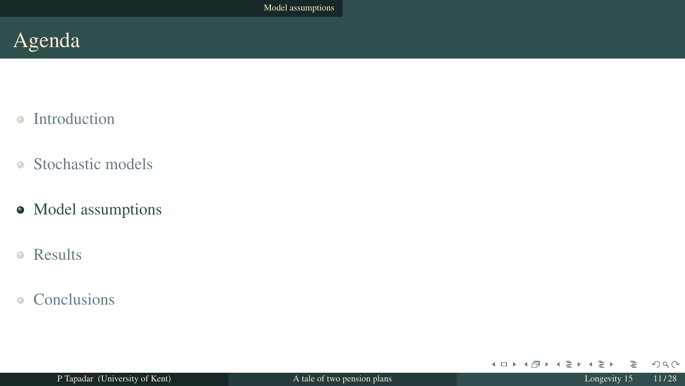- $\bullet$ Introduction
- Stochastic models  $\bullet$
- Model assumptions
- Results  $\bullet$
- **Conclusions**  $\bullet$

メロト メタト メモト メモト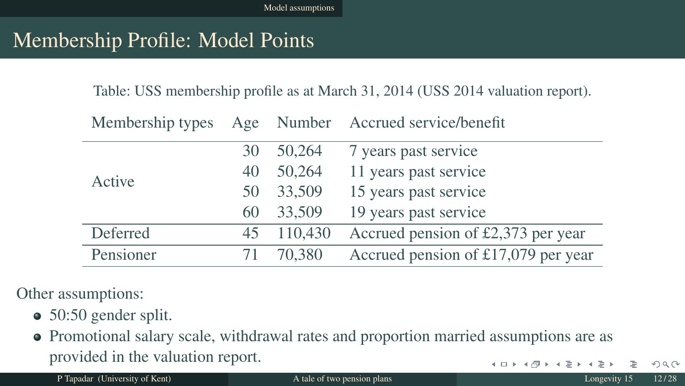# Membership Profile: Model Points

Table: USS membership profile as at March 31, 2014 (USS 2014 valuation report).

| Membership types |    |         | Age Number Accrued service/benefit  |  |
|------------------|----|---------|-------------------------------------|--|
| Active           | 30 | 50,264  | 7 years past service                |  |
|                  | 40 | 50,264  | 11 years past service               |  |
|                  | 50 | 33,509  | 15 years past service               |  |
|                  | 60 | 33,509  | 19 years past service               |  |
| Deferred         | 45 | 110,430 | Accrued pension of £2,373 per year  |  |
| Pensioner        |    | 70,380  | Accrued pension of £17,079 per year |  |
|                  |    |         |                                     |  |

Other assumptions:

- 50:50 gender split.
- Promotional salary scale, withdrawal rates and proportion married assumptions are as provided in the valuation report.  $\left\{ \begin{array}{ccc} 1 & 0 & 0 \\ 0 & 1 & 0 \end{array} \right.$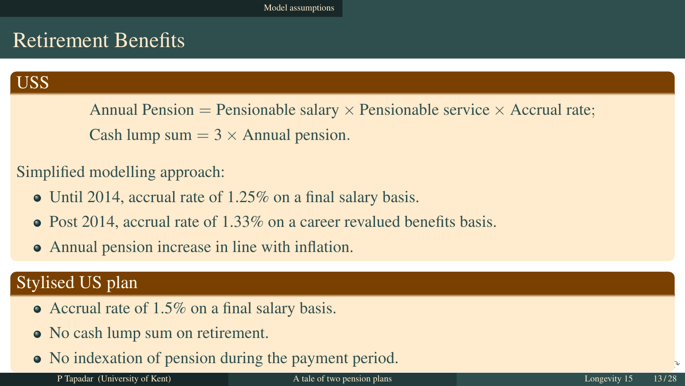# Retirement Benefits

#### USS

Annual Pension = Pensionable salary  $\times$  Pensionable service  $\times$  Accrual rate; Cash lump sum  $= 3 \times$  Annual pension.

#### Simplified modelling approach:

- Until 2014, accrual rate of 1.25% on a final salary basis.
- $\bullet$  Post 2014, accrual rate of 1.33% on a career revalued benefits basis.
- Annual pension increase in line with inflation.

#### Stylised US plan

- Accrual rate of 1.5% on a final salary basis.
- No cash lump sum on retirement.
- No indexation of pension during the payment period.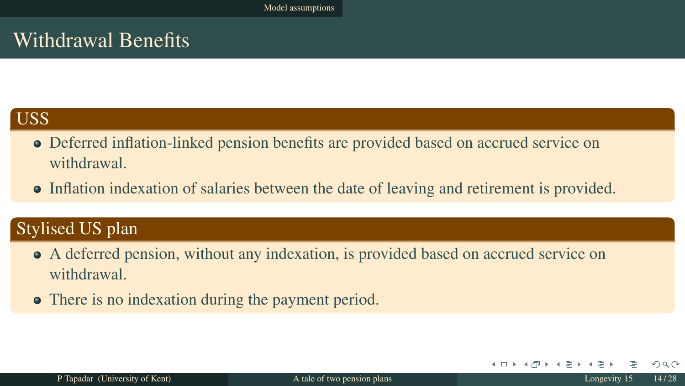# Withdrawal Benefits

## **USS**

- Deferred inflation-linked pension benefits are provided based on accrued service on withdrawal.
- Inflation indexation of salaries between the date of leaving and retirement is provided.

#### Stylised US plan

- A deferred pension, without any indexation, is provided based on accrued service on withdrawal.
- There is no indexation during the payment period.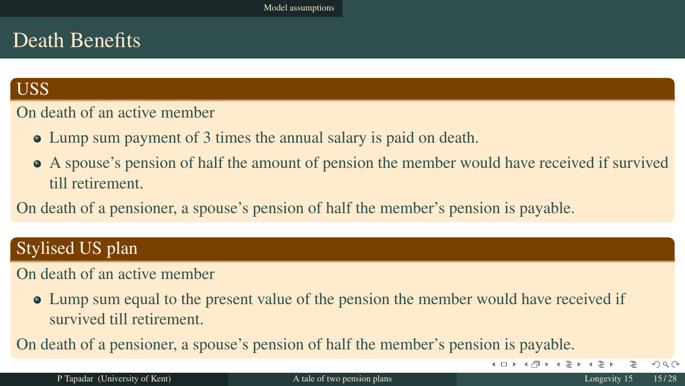# Death Benefits

#### USS

#### On death of an active member

- Lump sum payment of 3 times the annual salary is paid on death.
- A spouse's pension of half the amount of pension the member would have received if survived till retirement.

On death of a pensioner, a spouse's pension of half the member's pension is payable.

#### Stylised US plan

#### On death of an active member

Lump sum equal to the present value of the pension the member would have received if survived till retirement.

On death of a pensioner, a spouse's pension of half the member's pension is payable.

P Tapadar (University of Kent) and A tale of two pension plans and A tale of two pension plans Longevity 15 15/28

 $OQ$ 

 $\overline{AB}$   $\rightarrow$   $\overline{AB}$   $\rightarrow$   $\overline{AB}$   $\rightarrow$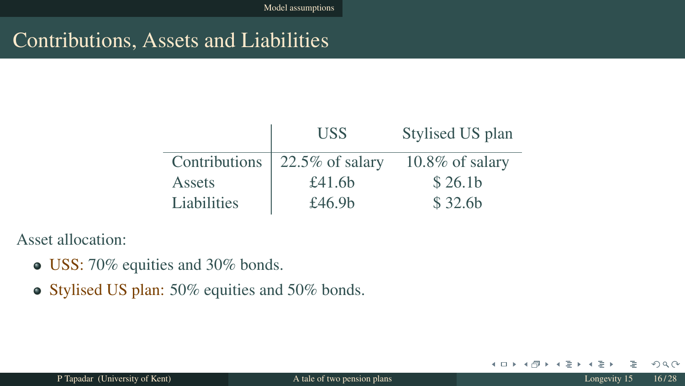# Contributions, Assets and Liabilities

|               | <b>USS</b>         | Stylised US plan    |
|---------------|--------------------|---------------------|
| Contributions | $22.5\%$ of salary | $10.8\%$ of salary  |
| Assets        | £41.6 $b$          | \$26.1 <sub>b</sub> |
| Liabilities   | £46.9 $b$          | \$32.6b             |

Asset allocation:

- USS: 70% equities and 30% bonds.
- Stylised US plan: 50% equities and 50% bonds.

 $2Q$ 

4 0 F

⊣ শি - 41 . -4

重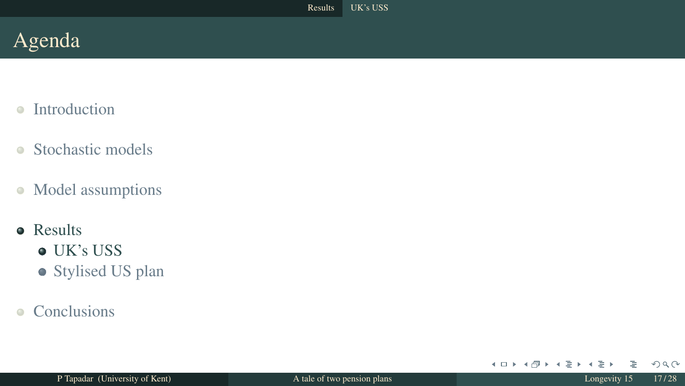- Introduction  $\alpha$
- Stochastic models  $\bullet$
- Model assumptions  $\bullet$
- **•** Results
	- UK's USS
	- Stylised US plan
- Conclusions

 $2Q$ 

メロト メタト メモト メモト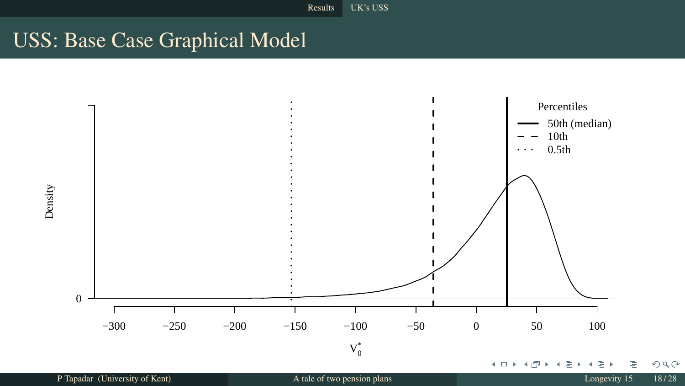# USS: Base Case Graphical Model



Density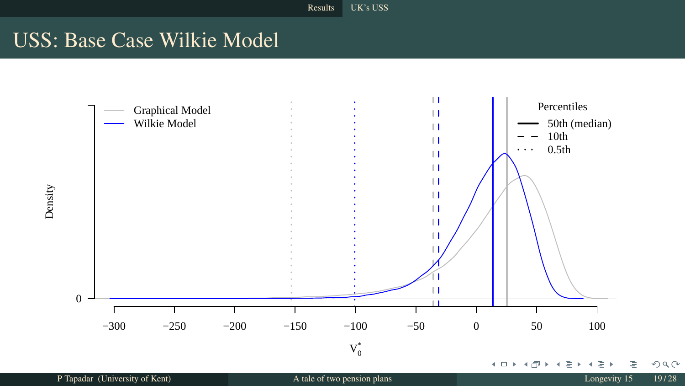# USS: Base Case Wilkie Model



Density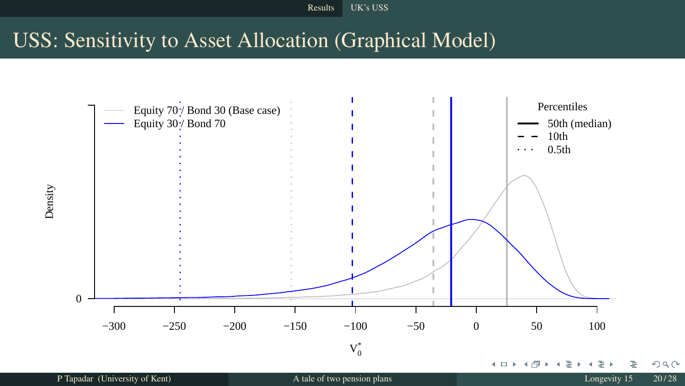Results UK's USS

# USS: Sensitivity to Asset Allocation (Graphical Model)



P Tapadar (University of Kent) and A tale of two pension plans and A tale of two pension plans Longevity 15 20/28

Density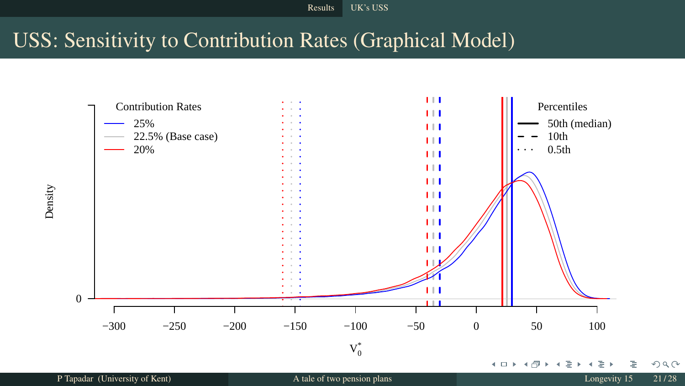Results UK's USS

# USS: Sensitivity to Contribution Rates (Graphical Model)



Density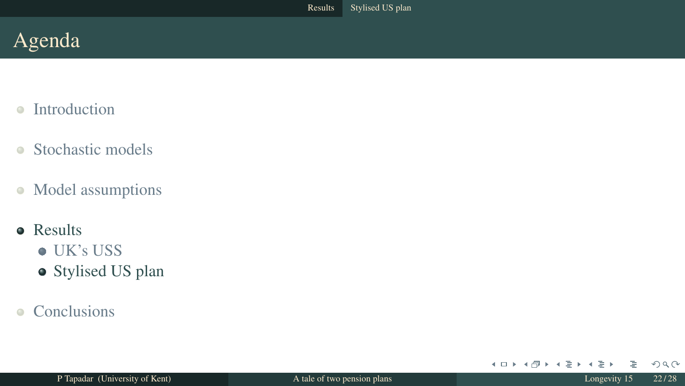- Introduction  $\alpha$
- Stochastic models  $\bullet$
- Model assumptions  $\bullet$
- **•** Results
	- UK's USS
	- Stylised US plan
- **Conclusions**  $\bullet$

 $2Q$ 

メロト メタト メモト メモト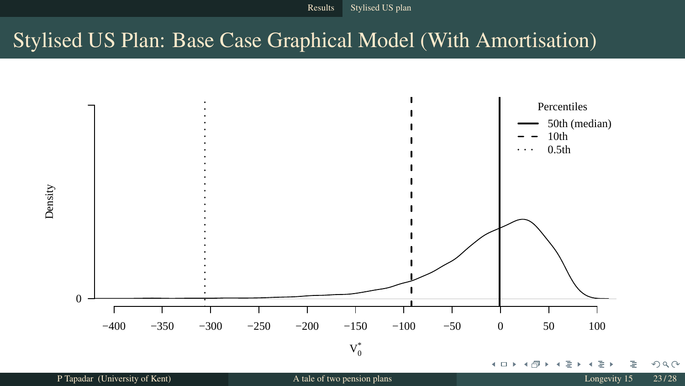Results Stylised US plan

# Stylised US Plan: Base Case Graphical Model (With Amortisation)



Density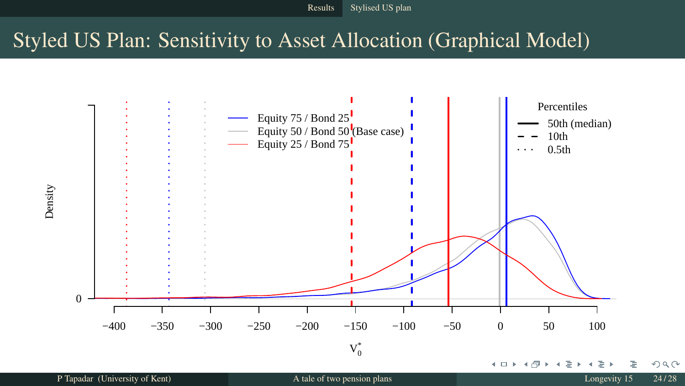Results Stylised US plan

# Styled US Plan: Sensitivity to Asset Allocation (Graphical Model)



Density

P Tapadar (University of Kent) A tale of two pension plans and the set of two pension plans Longevity 15 24/28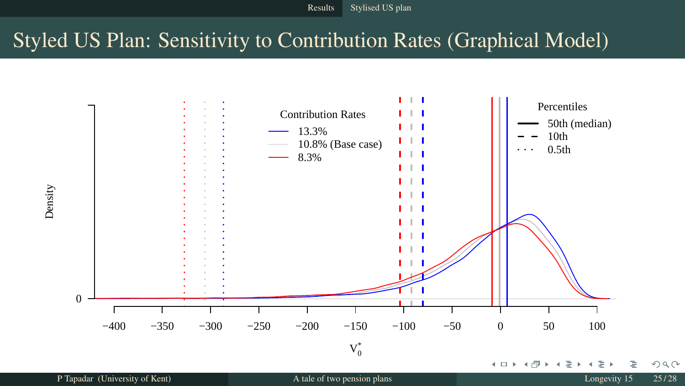Results Stylised US plan

# Styled US Plan: Sensitivity to Contribution Rates (Graphical Model)

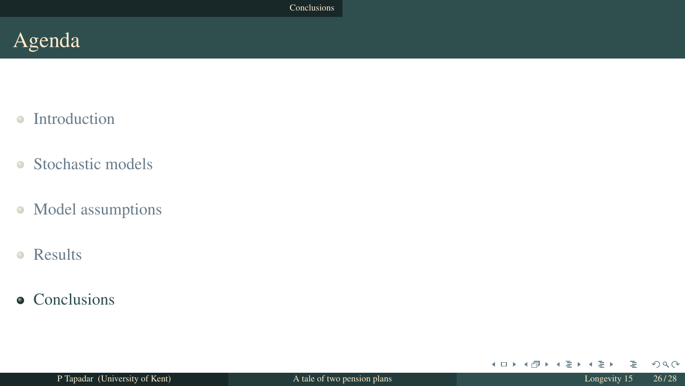- $\bullet$ Introduction
- $\bullet$ Stochastic models
- Model assumptions  $\bullet$
- Results  $\bullet$
- Conclusions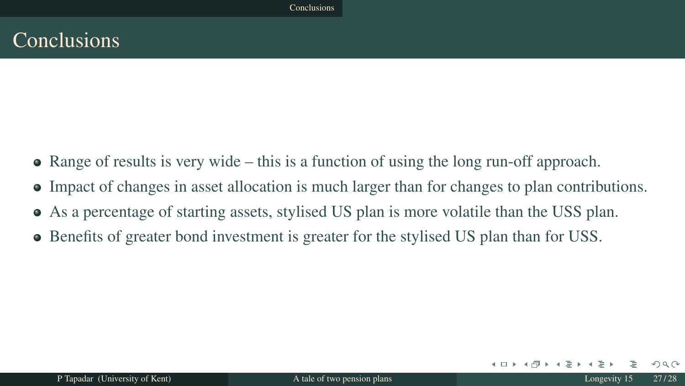# **Conclusions**

- Range of results is very wide this is a function of using the long run-off approach.
- Impact of changes in asset allocation is much larger than for changes to plan contributions.
- As a percentage of starting assets, stylised US plan is more volatile than the USS plan.
- Benefits of greater bond investment is greater for the stylised US plan than for USS.

 $QQ$